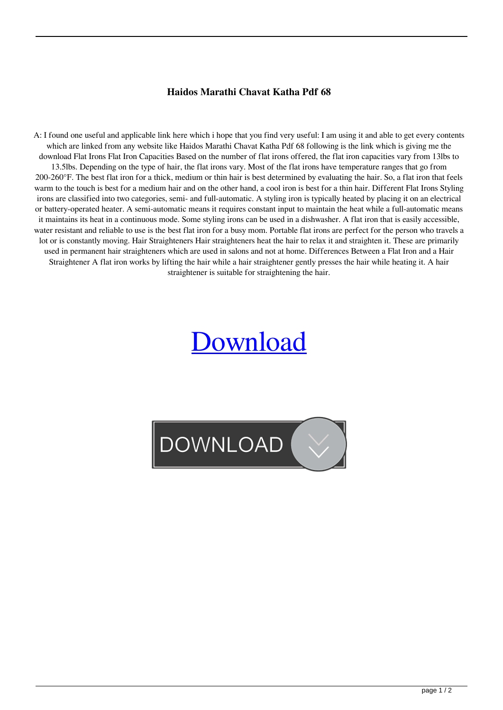## **Haidos Marathi Chavat Katha Pdf 68**

A: I found one useful and applicable link here which i hope that you find very useful: I am using it and able to get every contents which are linked from any website like Haidos Marathi Chavat Katha Pdf 68 following is the link which is giving me the download Flat Irons Flat Iron Capacities Based on the number of flat irons offered, the flat iron capacities vary from 13lbs to 13.5lbs. Depending on the type of hair, the flat irons vary. Most of the flat irons have temperature ranges that go from 200-260°F. The best flat iron for a thick, medium or thin hair is best determined by evaluating the hair. So, a flat iron that feels warm to the touch is best for a medium hair and on the other hand, a cool iron is best for a thin hair. Different Flat Irons Styling irons are classified into two categories, semi- and full-automatic. A styling iron is typically heated by placing it on an electrical or battery-operated heater. A semi-automatic means it requires constant input to maintain the heat while a full-automatic means it maintains its heat in a continuous mode. Some styling irons can be used in a dishwasher. A flat iron that is easily accessible, water resistant and reliable to use is the best flat iron for a busy mom. Portable flat irons are perfect for the person who travels a lot or is constantly moving. Hair Straighteners Hair straighteners heat the hair to relax it and straighten it. These are primarily used in permanent hair straighteners which are used in salons and not at home. Differences Between a Flat Iron and a Hair Straightener A flat iron works by lifting the hair while a hair straightener gently presses the hair while heating it. A hair straightener is suitable for straightening the hair.

## [Download](http://evacdir.com/ZG93bmxvYWR8WEM5TW5adFlueDhNVFkxTWpjME1EZzJObng4TWpVM05IeDhLRTBwSUhKbFlXUXRZbXh2WnlCYlJtRnpkQ0JIUlU1ZA/kickbacks/adventuristic/infidelities?mouseless.poppy=aGFpZG9zIG1hcmF0aGkgY2hhdmF0IGthdGhhIHBkZiA2OAaGF)

**DOWNLOAD**